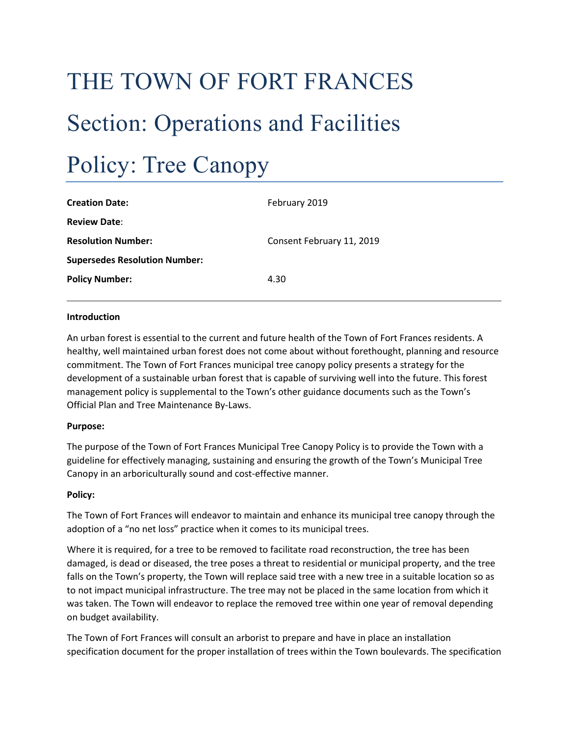# THE TOWN OF FORT FRANCES Section: Operations and Facilities Policy: Tree Canopy

| <b>Creation Date:</b>                | February 2019             |
|--------------------------------------|---------------------------|
| <b>Review Date:</b>                  |                           |
| <b>Resolution Number:</b>            | Consent February 11, 2019 |
| <b>Supersedes Resolution Number:</b> |                           |
| <b>Policy Number:</b>                | 4.30                      |
|                                      |                           |

#### **Introduction**

An urban forest is essential to the current and future health of the Town of Fort Frances residents. A healthy, well maintained urban forest does not come about without forethought, planning and resource commitment. The Town of Fort Frances municipal tree canopy policy presents a strategy for the development of a sustainable urban forest that is capable of surviving well into the future. This forest management policy is supplemental to the Town's other guidance documents such as the Town's Official Plan and Tree Maintenance By-Laws.

#### **Purpose:**

The purpose of the Town of Fort Frances Municipal Tree Canopy Policy is to provide the Town with a guideline for effectively managing, sustaining and ensuring the growth of the Town's Municipal Tree Canopy in an arboriculturally sound and cost-effective manner.

#### **Policy:**

The Town of Fort Frances will endeavor to maintain and enhance its municipal tree canopy through the adoption of a "no net loss" practice when it comes to its municipal trees.

Where it is required, for a tree to be removed to facilitate road reconstruction, the tree has been damaged, is dead or diseased, the tree poses a threat to residential or municipal property, and the tree falls on the Town's property, the Town will replace said tree with a new tree in a suitable location so as to not impact municipal infrastructure. The tree may not be placed in the same location from which it was taken. The Town will endeavor to replace the removed tree within one year of removal depending on budget availability.

The Town of Fort Frances will consult an arborist to prepare and have in place an installation specification document for the proper installation of trees within the Town boulevards. The specification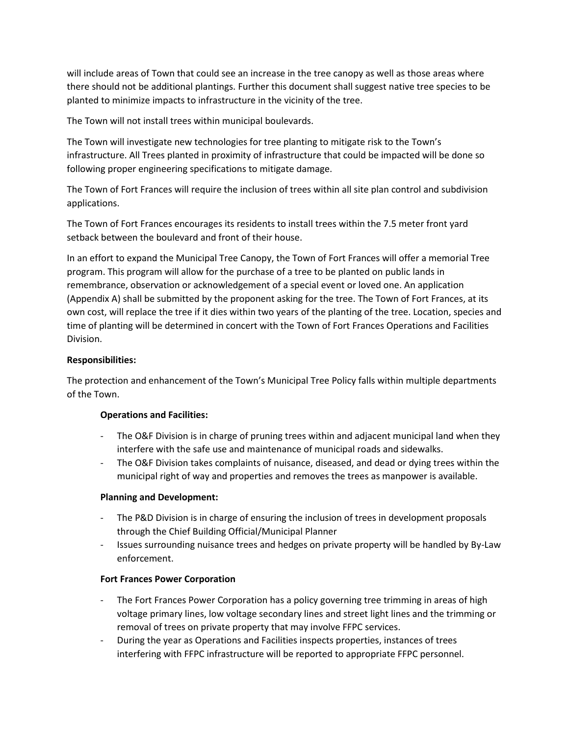will include areas of Town that could see an increase in the tree canopy as well as those areas where there should not be additional plantings. Further this document shall suggest native tree species to be planted to minimize impacts to infrastructure in the vicinity of the tree.

The Town will not install trees within municipal boulevards.

The Town will investigate new technologies for tree planting to mitigate risk to the Town's infrastructure. All Trees planted in proximity of infrastructure that could be impacted will be done so following proper engineering specifications to mitigate damage.

The Town of Fort Frances will require the inclusion of trees within all site plan control and subdivision applications.

The Town of Fort Frances encourages its residents to install trees within the 7.5 meter front yard setback between the boulevard and front of their house.

In an effort to expand the Municipal Tree Canopy, the Town of Fort Frances will offer a memorial Tree program. This program will allow for the purchase of a tree to be planted on public lands in remembrance, observation or acknowledgement of a special event or loved one. An application (Appendix A) shall be submitted by the proponent asking for the tree. The Town of Fort Frances, at its own cost, will replace the tree if it dies within two years of the planting of the tree. Location, species and time of planting will be determined in concert with the Town of Fort Frances Operations and Facilities Division.

# **Responsibilities:**

The protection and enhancement of the Town's Municipal Tree Policy falls within multiple departments of the Town.

### **Operations and Facilities:**

- The O&F Division is in charge of pruning trees within and adjacent municipal land when they interfere with the safe use and maintenance of municipal roads and sidewalks.
- The O&F Division takes complaints of nuisance, diseased, and dead or dying trees within the municipal right of way and properties and removes the trees as manpower is available.

### **Planning and Development:**

- The P&D Division is in charge of ensuring the inclusion of trees in development proposals through the Chief Building Official/Municipal Planner
- Issues surrounding nuisance trees and hedges on private property will be handled by By-Law enforcement.

### **Fort Frances Power Corporation**

- The Fort Frances Power Corporation has a policy governing tree trimming in areas of high voltage primary lines, low voltage secondary lines and street light lines and the trimming or removal of trees on private property that may involve FFPC services.
- During the year as Operations and Facilities inspects properties, instances of trees interfering with FFPC infrastructure will be reported to appropriate FFPC personnel.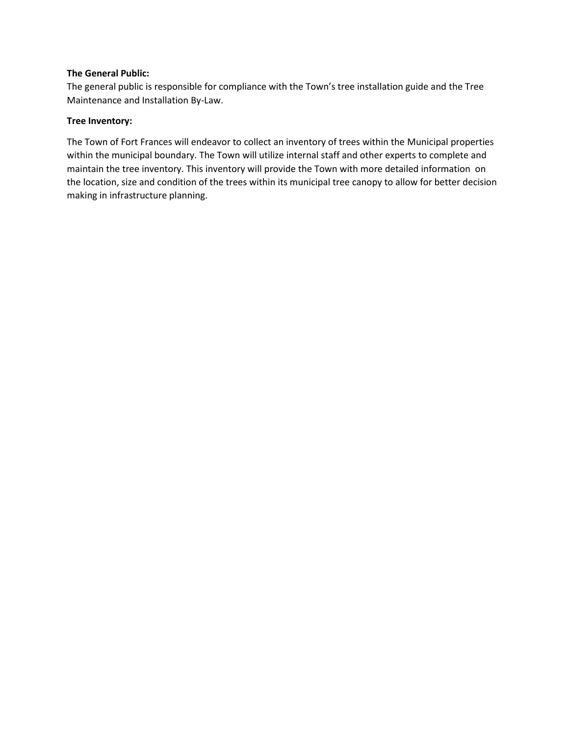### **The General Public:**

The general public is responsible for compliance with the Town's tree installation guide and the Tree Maintenance and Installation By-Law.

## **Tree Inventory:**

The Town of Fort Frances will endeavor to collect an inventory of trees within the Municipal properties within the municipal boundary. The Town will utilize internal staff and other experts to complete and maintain the tree inventory. This inventory will provide the Town with more detailed information on the location, size and condition of the trees within its municipal tree canopy to allow for better decision making in infrastructure planning.